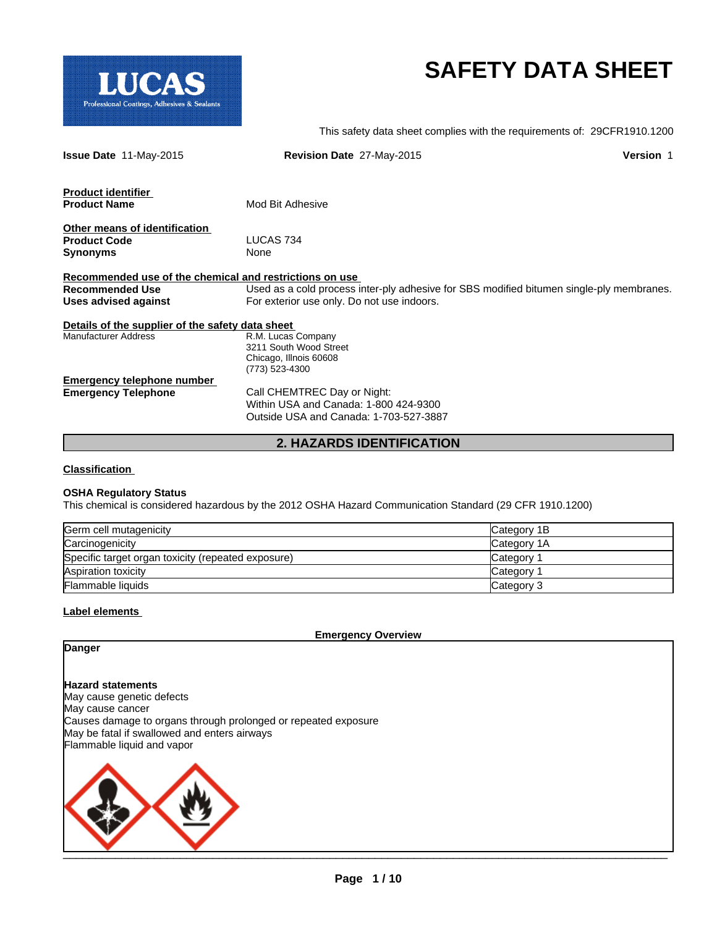

# **SAFETY DATA SHEET**

This safety data sheet complies with the requirements of: 29CFR1910.1200

| <b>Issue Date 11-May-2015</b>                           | Revision Date 27-May-2015                                                                | <b>Version 1</b> |
|---------------------------------------------------------|------------------------------------------------------------------------------------------|------------------|
| <b>Product identifier</b>                               |                                                                                          |                  |
| <b>Product Name</b>                                     | Mod Bit Adhesive                                                                         |                  |
| Other means of identification                           |                                                                                          |                  |
| <b>Product Code</b>                                     | LUCAS 734                                                                                |                  |
| Synonyms                                                | None                                                                                     |                  |
| Recommended use of the chemical and restrictions on use |                                                                                          |                  |
| Recommended Use                                         | Used as a cold process inter-ply adhesive for SBS modified bitumen single-ply membranes. |                  |
| Uses advised against                                    | For exterior use only. Do not use indoors.                                               |                  |
| Details of the supplier of the safety data sheet        |                                                                                          |                  |
| <b>Manufacturer Address</b>                             | R.M. Lucas Company                                                                       |                  |
|                                                         | 3211 South Wood Street                                                                   |                  |
|                                                         | Chicago, Illnois 60608                                                                   |                  |
|                                                         | (773) 523-4300                                                                           |                  |
| <b>Emergency telephone number</b>                       |                                                                                          |                  |
| <b>Emergency Telephone</b>                              | Call CHEMTREC Day or Night:                                                              |                  |
|                                                         | Within USA and Canada: 1-800 424-9300                                                    |                  |
|                                                         | Outside USA and Canada: 1-703-527-3887                                                   |                  |
|                                                         |                                                                                          |                  |

# **2. HAZARDS IDENTIFICATION**

#### **Classification**

#### **OSHA Regulatory Status**

This chemical is considered hazardous by the 2012 OSHA Hazard Communication Standard (29 CFR 1910.1200)

| Germ cell mutagenicity                             | Category 1B     |
|----------------------------------------------------|-----------------|
| Carcinogenicity                                    | Category 1A     |
| Specific target organ toxicity (repeated exposure) | Category        |
| Aspiration toxicity                                | <b>Category</b> |
| <b>Flammable liquids</b>                           | Category 3      |

#### **Label elements**

**Emergency Overview**

**Danger**

**Hazard statements** May cause genetic defects May cause cancer

Causes damage to organs through prolonged or repeated exposure May be fatal if swallowed and enters airways Flammable liquid and vapor

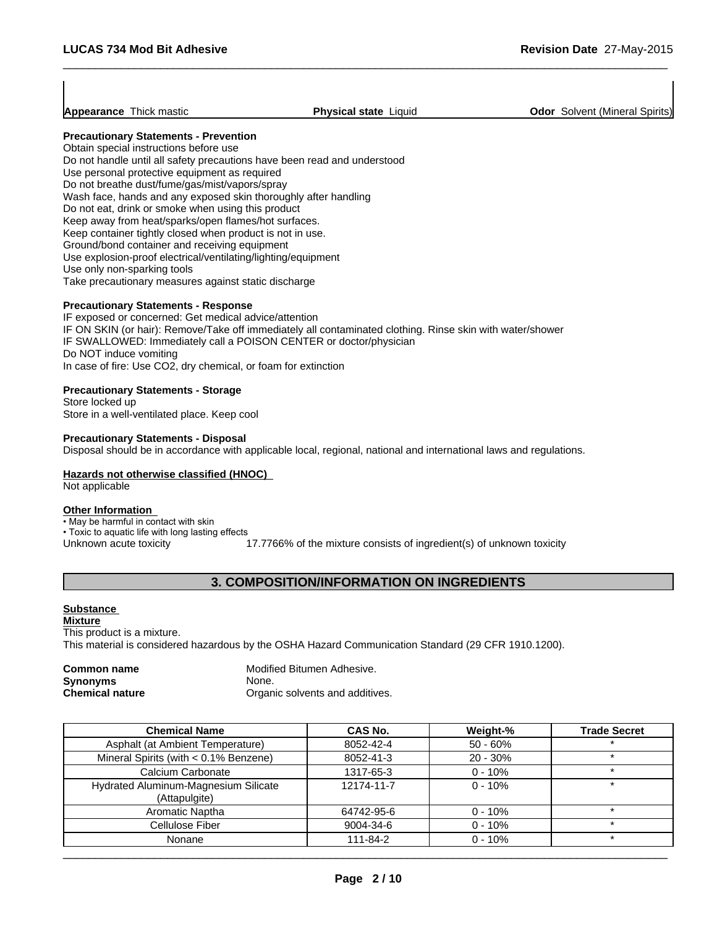**Appearance** Thick mastic **Physical state** Liquid **Odor Solvent (Mineral Spirits) Physical state** Liquid

### **Precautionary Statements - Prevention**

Obtain special instructions before use Do not handle until all safety precautions have been read and understood Use personal protective equipment as required Do not breathe dust/fume/gas/mist/vapors/spray Wash face, hands and any exposed skin thoroughly after handling Do not eat, drink or smoke when using this product Keep away from heat/sparks/open flames/hot surfaces. Keep container tightly closed when product is not in use. Ground/bond container and receiving equipment Use explosion-proof electrical/ventilating/lighting/equipment Use only non-sparking tools Take precautionary measures against static discharge

#### **Precautionary Statements - Response**

IF exposed or concerned: Get medical advice/attention IF ON SKIN (or hair): Remove/Take off immediately all contaminated clothing. Rinse skin with water/shower IF SWALLOWED: Immediately call a POISON CENTER or doctor/physician Do NOT induce vomiting In case of fire: Use CO2, dry chemical, or foam for extinction

#### **Precautionary Statements - Storage**

Store locked up Store in a well-ventilated place. Keep cool

#### **Precautionary Statements - Disposal**

Disposal should be in accordance with applicable local, regional, national and international laws and regulations.

#### **Hazards not otherwise classified (HNOC)**

Not applicable

#### **Other Information**

- May be harmful in contact with skin
- Toxic to aquatic life with long lasting effects
- Unknown acute toxicity 17.7766% of the mixture consists of ingredient(s) of unknown toxicity

# **3. COMPOSITION/INFORMATION ON INGREDIENTS**

#### **Substance**

**Mixture** This product is a mixture. This material is considered hazardous by the OSHA Hazard Communication Standard (29 CFR 1910.1200).

| <b>Common name</b>     | Modified Bitumen Adhesive.      |
|------------------------|---------------------------------|
| <b>Synonyms</b>        | None.                           |
| <b>Chemical nature</b> | Organic solvents and additives. |

| <b>Chemical Name</b>                                  | <b>CAS No.</b> | Weight-%   | <b>Trade Secret</b> |
|-------------------------------------------------------|----------------|------------|---------------------|
| Asphalt (at Ambient Temperature)                      | 8052-42-4      | $50 - 60%$ | $\star$             |
| Mineral Spirits (with < 0.1% Benzene)                 | 8052-41-3      | $20 - 30%$ | ÷                   |
| Calcium Carbonate                                     | 1317-65-3      | $0 - 10%$  |                     |
| Hydrated Aluminum-Magnesium Silicate<br>(Attapulgite) | 12174-11-7     | $0 - 10%$  | ÷                   |
| Aromatic Naptha                                       | 64742-95-6     | $0 - 10%$  | $\star$             |
| Cellulose Fiber                                       | 9004-34-6      | $0 - 10%$  | $\cdot$             |
| Nonane                                                | 111-84-2       | $0 - 10%$  | $\star$             |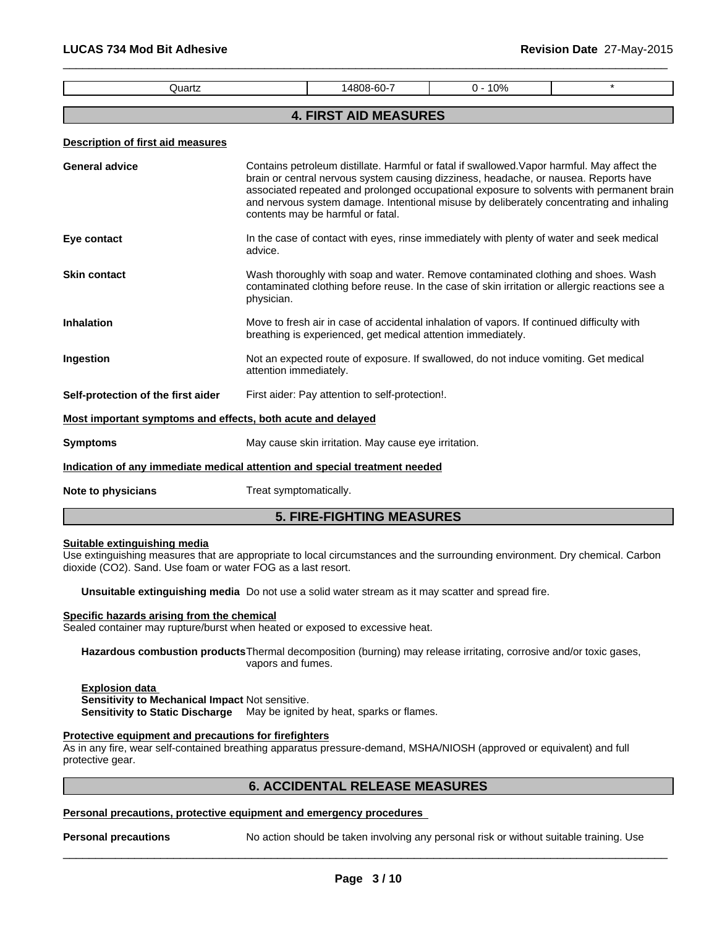| Quartz                                                                     |                        | 14808-60-7                                                   | $0 - 10%$                                                                                  | $\star$                                                                                                                                                                                                                                                                             |
|----------------------------------------------------------------------------|------------------------|--------------------------------------------------------------|--------------------------------------------------------------------------------------------|-------------------------------------------------------------------------------------------------------------------------------------------------------------------------------------------------------------------------------------------------------------------------------------|
|                                                                            |                        | <b>4. FIRST AID MEASURES</b>                                 |                                                                                            |                                                                                                                                                                                                                                                                                     |
| <b>Description of first aid measures</b>                                   |                        |                                                              |                                                                                            |                                                                                                                                                                                                                                                                                     |
| General advice                                                             |                        | contents may be harmful or fatal.                            | brain or central nervous system causing dizziness, headache, or nausea. Reports have       | Contains petroleum distillate. Harmful or fatal if swallowed. Vapor harmful. May affect the<br>associated repeated and prolonged occupational exposure to solvents with permanent brain<br>and nervous system damage. Intentional misuse by deliberately concentrating and inhaling |
| Eye contact                                                                | advice.                |                                                              |                                                                                            | In the case of contact with eyes, rinse immediately with plenty of water and seek medical                                                                                                                                                                                           |
| <b>Skin contact</b>                                                        | physician.             |                                                              |                                                                                            | Wash thoroughly with soap and water. Remove contaminated clothing and shoes. Wash<br>contaminated clothing before reuse. In the case of skin irritation or allergic reactions see a                                                                                                 |
| Inhalation                                                                 |                        | breathing is experienced, get medical attention immediately. | Move to fresh air in case of accidental inhalation of vapors. If continued difficulty with |                                                                                                                                                                                                                                                                                     |
| Ingestion                                                                  | attention immediately. |                                                              | Not an expected route of exposure. If swallowed, do not induce vomiting. Get medical       |                                                                                                                                                                                                                                                                                     |
| Self-protection of the first aider                                         |                        | First aider: Pay attention to self-protection!.              |                                                                                            |                                                                                                                                                                                                                                                                                     |
| Most important symptoms and effects, both acute and delayed                |                        |                                                              |                                                                                            |                                                                                                                                                                                                                                                                                     |
| <b>Symptoms</b>                                                            |                        | May cause skin irritation. May cause eye irritation.         |                                                                                            |                                                                                                                                                                                                                                                                                     |
| Indication of any immediate medical attention and special treatment needed |                        |                                                              |                                                                                            |                                                                                                                                                                                                                                                                                     |
| <b>Note to physicians</b>                                                  | Treat symptomatically. |                                                              |                                                                                            |                                                                                                                                                                                                                                                                                     |

# **5. FIRE-FIGHTING MEASURES**

#### **Suitable extinguishing media**

Use extinguishing measures that are appropriate to local circumstances and the surrounding environment. Dry chemical. Carbon dioxide (CO2). Sand. Use foam or water FOG as a last resort.

**Unsuitable extinguishing media** Do not use a solid water stream as it may scatter and spread fire.

**Specific hazards arising from the chemical**

Sealed container may rupture/burst when heated or exposed to excessive heat.

**Hazardous combustion products**Thermal decomposition (burning) may release irritating, corrosive and/or toxic gases, vapors and fumes.

**Explosion data Sensitivity to Mechanical Impact** Not sensitive.

**Sensitivity to Static Discharge** May be ignited by heat, sparks or flames.

# **Protective equipment and precautions for firefighters**

As in any fire, wear self-contained breathing apparatus pressure-demand, MSHA/NIOSH (approved or equivalent) and full protective gear.

# **6. ACCIDENTAL RELEASE MEASURES**

#### **Personal precautions, protective equipment and emergency procedures**

**Personal precautions** No action should be taken involving any personal risk or without suitable training. Use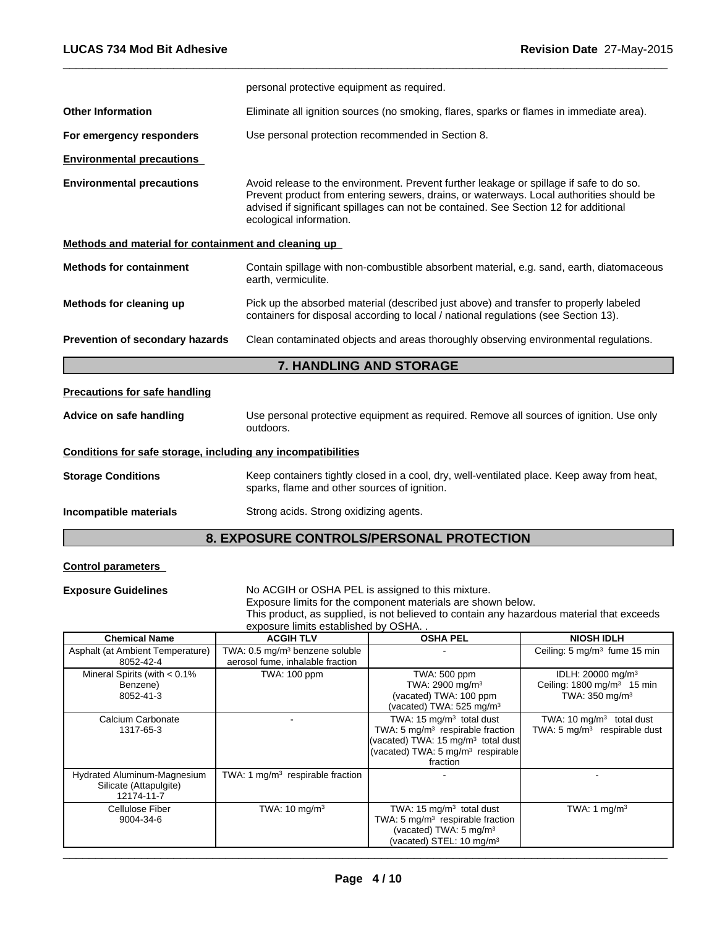|                                                                                                                                                                                                                                    | personal protective equipment as required.                                                                                                                                                                                                                                                            |
|------------------------------------------------------------------------------------------------------------------------------------------------------------------------------------------------------------------------------------|-------------------------------------------------------------------------------------------------------------------------------------------------------------------------------------------------------------------------------------------------------------------------------------------------------|
| <b>Other Information</b>                                                                                                                                                                                                           | Eliminate all ignition sources (no smoking, flares, sparks or flames in immediate area).                                                                                                                                                                                                              |
| For emergency responders                                                                                                                                                                                                           | Use personal protection recommended in Section 8.                                                                                                                                                                                                                                                     |
| <b>Environmental precautions</b>                                                                                                                                                                                                   |                                                                                                                                                                                                                                                                                                       |
| <b>Environmental precautions</b>                                                                                                                                                                                                   | Avoid release to the environment. Prevent further leakage or spillage if safe to do so.<br>Prevent product from entering sewers, drains, or waterways. Local authorities should be<br>advised if significant spillages can not be contained. See Section 12 for additional<br>ecological information. |
| Methods and material for containment and cleaning up                                                                                                                                                                               |                                                                                                                                                                                                                                                                                                       |
| <b>Methods for containment</b>                                                                                                                                                                                                     | Contain spillage with non-combustible absorbent material, e.g. sand, earth, diatomaceous<br>earth, vermiculite.                                                                                                                                                                                       |
| Methods for cleaning up                                                                                                                                                                                                            | Pick up the absorbed material (described just above) and transfer to properly labeled<br>containers for disposal according to local / national regulations (see Section 13).                                                                                                                          |
| Prevention of secondary hazards                                                                                                                                                                                                    | Clean contaminated objects and areas thoroughly observing environmental regulations.                                                                                                                                                                                                                  |
|                                                                                                                                                                                                                                    | 7. HANDLING AND STORAGE                                                                                                                                                                                                                                                                               |
| <b>Precautions for safe handling</b>                                                                                                                                                                                               |                                                                                                                                                                                                                                                                                                       |
| Advice on safe handling                                                                                                                                                                                                            | Use personal protective equipment as required. Remove all sources of ignition. Use only<br>outdoors.                                                                                                                                                                                                  |
| $\bullet$ . The contract of the contract of the contract of the contract of the contract of the contract of the contract of the contract of the contract of the contract of the contract of the contract of the contract of the co |                                                                                                                                                                                                                                                                                                       |

**Conditions for safe storage, including any incompatibilities**

**Storage Conditions** Keep containers tightly closed in a cool, dry, well-ventilated place. Keep away from heat, sparks, flame and other sources of ignition.

**Incompatible materials** Strong acids. Strong oxidizing agents.

# **8. EXPOSURE CONTROLS/PERSONAL PROTECTION**

# **Control parameters**

**Exposure Guidelines** No ACGIH or OSHA PEL is assigned to this mixture.

Exposure limits for the component materials are shown below.

This product, as supplied, is not believed to contain any hazardous material that exceeds exposure limits established by OSHA. .

| <b>Chemical Name</b>                                                | <b>ACGIH TLV</b>                                                               | <b>OSHA PEL</b>                                                                                                                                                                          | <b>NIOSH IDLH</b>                                                                                      |
|---------------------------------------------------------------------|--------------------------------------------------------------------------------|------------------------------------------------------------------------------------------------------------------------------------------------------------------------------------------|--------------------------------------------------------------------------------------------------------|
| Asphalt (at Ambient Temperature)<br>8052-42-4                       | TWA: 0.5 mg/m <sup>3</sup> benzene soluble<br>aerosol fume, inhalable fraction |                                                                                                                                                                                          | Ceiling: 5 mg/m <sup>3</sup> fume 15 min                                                               |
| Mineral Spirits (with $< 0.1\%$<br>Benzene)<br>8052-41-3            | TWA: 100 ppm                                                                   | TWA: 500 ppm<br>TWA: 2900 mg/m <sup>3</sup><br>(vacated) TWA: 100 ppm<br>(vacated) TWA: 525 mg/m <sup>3</sup>                                                                            | IDLH: 20000 mg/m <sup>3</sup><br>Ceiling: $1800$ mg/m <sup>3</sup> 15 min<br>TWA: $350 \text{ mg/m}^3$ |
| Calcium Carbonate<br>1317-65-3                                      |                                                                                | TWA: $15 \text{ mg/m}^3$ total dust<br>TWA: 5 mg/m <sup>3</sup> respirable fraction<br>(vacated) TWA: 15 $mq/m3$ total dust<br>(vacated) TWA: 5 mg/m <sup>3</sup> respirable<br>fraction | TWA: 10 $mq/m3$ total dust<br>TWA: $5 \text{ mg/m}^3$ respirable dust                                  |
| Hydrated Aluminum-Magnesium<br>Silicate (Attapulgite)<br>12174-11-7 | TWA: 1 $mg/m3$ respirable fraction                                             |                                                                                                                                                                                          |                                                                                                        |
| Cellulose Fiber<br>9004-34-6                                        | TWA: $10 \text{ mg/m}^3$                                                       | TWA: 15 $mg/m3$ total dust<br>TWA: 5 $mq/m3$ respirable fraction<br>(vacated) TWA: $5 \text{ mg/m}^3$<br>(vacated) STEL: 10 mg/m <sup>3</sup>                                            | TWA: 1 $mq/m3$                                                                                         |

 $\overline{\phantom{a}}$  , and the contribution of the contribution of the contribution of the contribution of the contribution of the contribution of the contribution of the contribution of the contribution of the contribution of the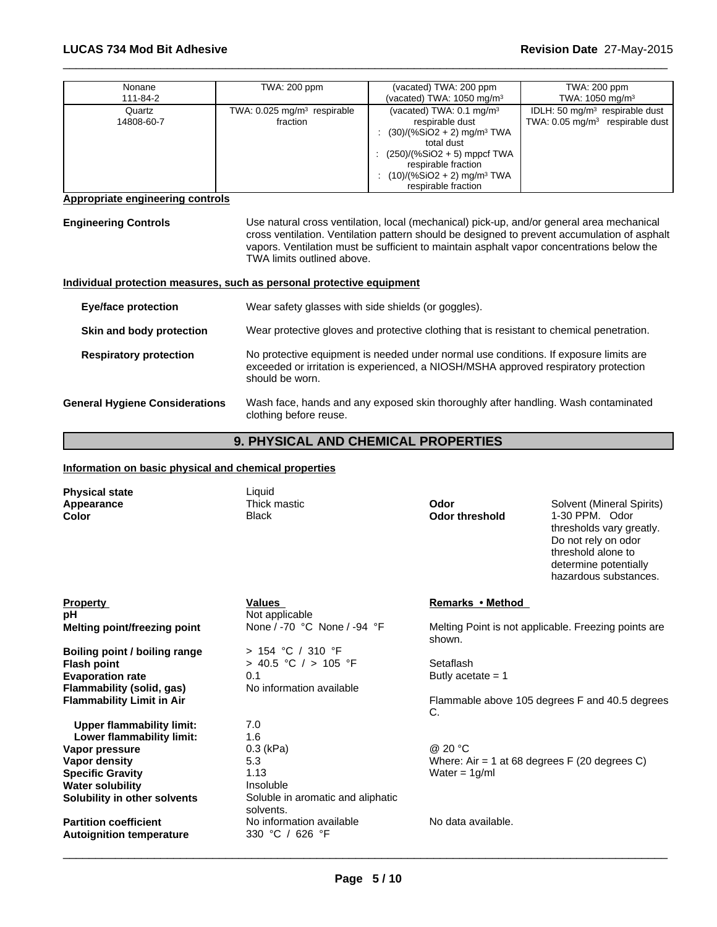| Nonane               | TWA: 200 ppm                                          | (vacated) TWA: 200 ppm                                                                                                                                                                                                                      | TWA: 200 ppm                                                                             |
|----------------------|-------------------------------------------------------|---------------------------------------------------------------------------------------------------------------------------------------------------------------------------------------------------------------------------------------------|------------------------------------------------------------------------------------------|
| 111-84-2             |                                                       | (vacated) TWA: $1050 \text{ mg/m}^3$                                                                                                                                                                                                        | TWA: $1050$ mg/m <sup>3</sup>                                                            |
| Quartz<br>14808-60-7 | TWA: $0.025$ mg/m <sup>3</sup> respirable<br>fraction | (vacated) TWA: $0.1 \text{ mg/m}^3$<br>respirable dust<br>$(30)/(%SiO2 + 2)$ mg/m <sup>3</sup> TWA<br>total dust<br>$(250)/(%SiO2 + 5)$ mppcf TWA<br>respirable fraction<br>$(10)/(%SiO2 + 2)$ mg/m <sup>3</sup> TWA<br>respirable fraction | IDLH: 50 mg/m <sup>3</sup> respirable dust<br>TWA: $0.05 \text{ mg/m}^3$ respirable dust |

#### **Appropriate engineering controls**

**Engineering Controls** Use natural cross ventilation, local (mechanical) pick-up, and/or general area mechanical cross ventilation. Ventilation pattern should be designed to prevent accumulation of asphalt vapors. Ventilation must be sufficient to maintain asphalt vapor concentrations below the TWA limits outlined above.

 $\overline{\phantom{a}}$  ,  $\overline{\phantom{a}}$  ,  $\overline{\phantom{a}}$  ,  $\overline{\phantom{a}}$  ,  $\overline{\phantom{a}}$  ,  $\overline{\phantom{a}}$  ,  $\overline{\phantom{a}}$  ,  $\overline{\phantom{a}}$  ,  $\overline{\phantom{a}}$  ,  $\overline{\phantom{a}}$  ,  $\overline{\phantom{a}}$  ,  $\overline{\phantom{a}}$  ,  $\overline{\phantom{a}}$  ,  $\overline{\phantom{a}}$  ,  $\overline{\phantom{a}}$  ,  $\overline{\phantom{a}}$ 

# **Individual protection measures, such as personal protective equipment**

| <b>Eye/face protection</b>            | Wear safety glasses with side shields (or goggles).                                                                                                                                             |
|---------------------------------------|-------------------------------------------------------------------------------------------------------------------------------------------------------------------------------------------------|
| Skin and body protection              | Wear protective gloves and protective clothing that is resistant to chemical penetration.                                                                                                       |
| <b>Respiratory protection</b>         | No protective equipment is needed under normal use conditions. If exposure limits are<br>exceeded or irritation is experienced, a NIOSH/MSHA approved respiratory protection<br>should be worn. |
| <b>General Hygiene Considerations</b> | Wash face, hands and any exposed skin thoroughly after handling. Wash contaminated<br>clothing before reuse.                                                                                    |

# **9. PHYSICAL AND CHEMICAL PROPERTIES**

# **Information on basic physical and chemical properties**

| <b>Physical state</b>            | Liquid                                         |                               |                                                      |
|----------------------------------|------------------------------------------------|-------------------------------|------------------------------------------------------|
| Appearance<br>Color              | Thick mastic<br><b>Black</b>                   | Odor<br><b>Odor threshold</b> | Solvent (Mineral Spirits)<br>1-30 PPM. Odor          |
|                                  |                                                |                               | thresholds vary greatly.<br>Do not rely on odor      |
|                                  |                                                |                               | threshold alone to                                   |
|                                  |                                                |                               | determine potentially<br>hazardous substances.       |
| <b>Property</b>                  | <b>Values</b>                                  | Remarks • Method              |                                                      |
| pH                               | Not applicable                                 |                               |                                                      |
| Melting point/freezing point     | None / -70 °C None / -94 °F                    | shown.                        | Melting Point is not applicable. Freezing points are |
| Boiling point / boiling range    | > 154 °C / 310 °F                              |                               |                                                      |
| <b>Flash point</b>               | > 40.5 °C / > 105 °F                           | Setaflash                     |                                                      |
| <b>Evaporation rate</b>          | 0.1                                            | Butly acetate $= 1$           |                                                      |
| <b>Flammability (solid, gas)</b> | No information available                       |                               |                                                      |
| <b>Flammability Limit in Air</b> |                                                | C.                            | Flammable above 105 degrees F and 40.5 degrees       |
| <b>Upper flammability limit:</b> | 7.0                                            |                               |                                                      |
| Lower flammability limit:        | 1.6                                            |                               |                                                      |
| Vapor pressure                   | $0.3$ (kPa)                                    | @ 20 °C                       |                                                      |
| Vapor density                    | 5.3                                            |                               | Where: Air = 1 at 68 degrees $F(20$ degrees C)       |
| <b>Specific Gravity</b>          | 1.13                                           | Water = $1g/ml$               |                                                      |
| <b>Water solubility</b>          | Insoluble                                      |                               |                                                      |
| Solubility in other solvents     | Soluble in aromatic and aliphatic<br>solvents. |                               |                                                      |
| <b>Partition coefficient</b>     | No information available                       | No data available.            |                                                      |
| <b>Autoignition temperature</b>  | 330 °C / 626 °F                                |                               |                                                      |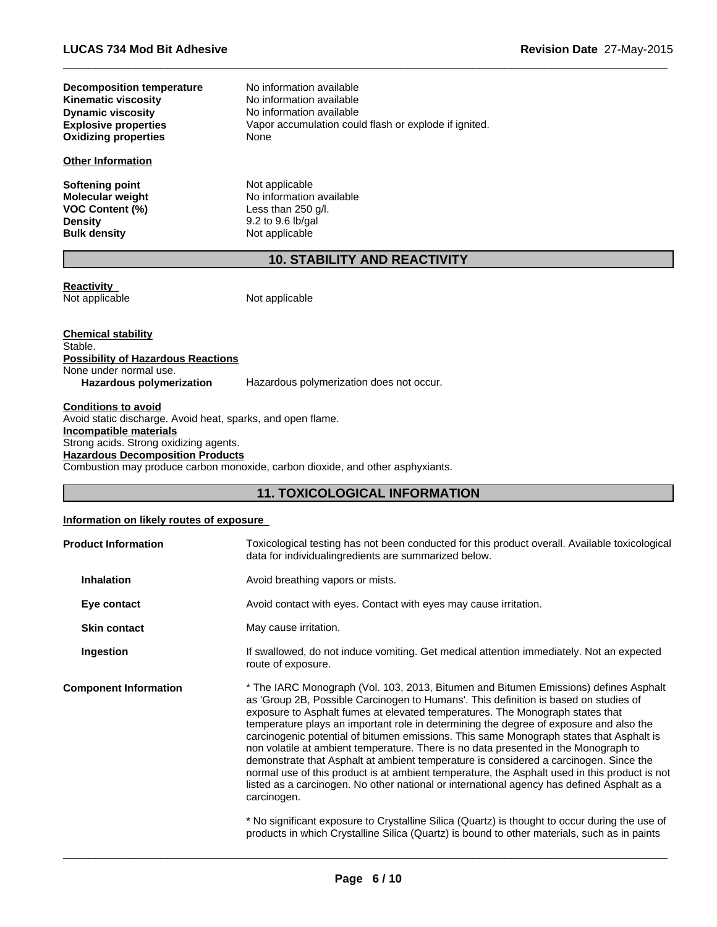| Decomposition temperature   | No information available                              |
|-----------------------------|-------------------------------------------------------|
| <b>Kinematic viscosity</b>  | No information available                              |
| <b>Dynamic viscosity</b>    | No information available                              |
| <b>Explosive properties</b> | Vapor accumulation could flash or explode if ignited. |
| <b>Oxidizing properties</b> | None                                                  |
| <b>Other Information</b>    |                                                       |
| <b>Softening point</b>      | Not applicable                                        |
| <b>Molecular weight</b>     | No information available                              |
| <b>VOC Content (%)</b>      | Less than $250$ g/l.                                  |
| <b>Density</b>              | 9.2 to 9.6 lb/gal                                     |

# **10. STABILITY AND REACTIVITY**

 $\overline{\phantom{a}}$  ,  $\overline{\phantom{a}}$  ,  $\overline{\phantom{a}}$  ,  $\overline{\phantom{a}}$  ,  $\overline{\phantom{a}}$  ,  $\overline{\phantom{a}}$  ,  $\overline{\phantom{a}}$  ,  $\overline{\phantom{a}}$  ,  $\overline{\phantom{a}}$  ,  $\overline{\phantom{a}}$  ,  $\overline{\phantom{a}}$  ,  $\overline{\phantom{a}}$  ,  $\overline{\phantom{a}}$  ,  $\overline{\phantom{a}}$  ,  $\overline{\phantom{a}}$  ,  $\overline{\phantom{a}}$ 

**Reactivity**<br>Not applicable

Not applicable

**Not applicable** 

| Chemical stability                 |                                          |
|------------------------------------|------------------------------------------|
| Stable.                            |                                          |
| Possibility of Hazardous Reactions |                                          |
| None under normal use.             |                                          |
| Hazardous polymerization           | Hazardous polymerization does not occur. |
|                                    |                                          |

#### **Conditions to avoid** Avoid static discharge. Avoid heat, sparks, and open flame. **Incompatible materials** Strong acids. Strong oxidizing agents.

**Density** 9.2 to 9.6 lb/gal **Bulk density** 9.2 to 9.6 lb/gal

**Hazardous Decomposition Products**

Combustion may produce carbon monoxide, carbon dioxide, and other asphyxiants.

# **11. TOXICOLOGICAL INFORMATION**

# **Information on likely routes of exposure**

| <b>Product Information</b>   | Toxicological testing has not been conducted for this product overall. Available toxicological<br>data for individualing redients are summarized below.                                                                                                                                                                                                                                                                                                                                                                                                                                                                                                                                                                                                                                                                                                                                                                                                                                                                                            |
|------------------------------|----------------------------------------------------------------------------------------------------------------------------------------------------------------------------------------------------------------------------------------------------------------------------------------------------------------------------------------------------------------------------------------------------------------------------------------------------------------------------------------------------------------------------------------------------------------------------------------------------------------------------------------------------------------------------------------------------------------------------------------------------------------------------------------------------------------------------------------------------------------------------------------------------------------------------------------------------------------------------------------------------------------------------------------------------|
| <b>Inhalation</b>            | Avoid breathing vapors or mists.                                                                                                                                                                                                                                                                                                                                                                                                                                                                                                                                                                                                                                                                                                                                                                                                                                                                                                                                                                                                                   |
| Eye contact                  | Avoid contact with eyes. Contact with eyes may cause irritation.                                                                                                                                                                                                                                                                                                                                                                                                                                                                                                                                                                                                                                                                                                                                                                                                                                                                                                                                                                                   |
| <b>Skin contact</b>          | May cause irritation.                                                                                                                                                                                                                                                                                                                                                                                                                                                                                                                                                                                                                                                                                                                                                                                                                                                                                                                                                                                                                              |
| Ingestion                    | If swallowed, do not induce vomiting. Get medical attention immediately. Not an expected<br>route of exposure.                                                                                                                                                                                                                                                                                                                                                                                                                                                                                                                                                                                                                                                                                                                                                                                                                                                                                                                                     |
| <b>Component Information</b> | * The IARC Monograph (Vol. 103, 2013, Bitumen and Bitumen Emissions) defines Asphalt<br>as 'Group 2B, Possible Carcinogen to Humans'. This definition is based on studies of<br>exposure to Asphalt fumes at elevated temperatures. The Monograph states that<br>temperature plays an important role in determining the degree of exposure and also the<br>carcinogenic potential of bitumen emissions. This same Monograph states that Asphalt is<br>non volatile at ambient temperature. There is no data presented in the Monograph to<br>demonstrate that Asphalt at ambient temperature is considered a carcinogen. Since the<br>normal use of this product is at ambient temperature, the Asphalt used in this product is not<br>listed as a carcinogen. No other national or international agency has defined Asphalt as a<br>carcinogen.<br>* No significant exposure to Crystalline Silica (Quartz) is thought to occur during the use of<br>products in which Crystalline Silica (Quartz) is bound to other materials, such as in paints |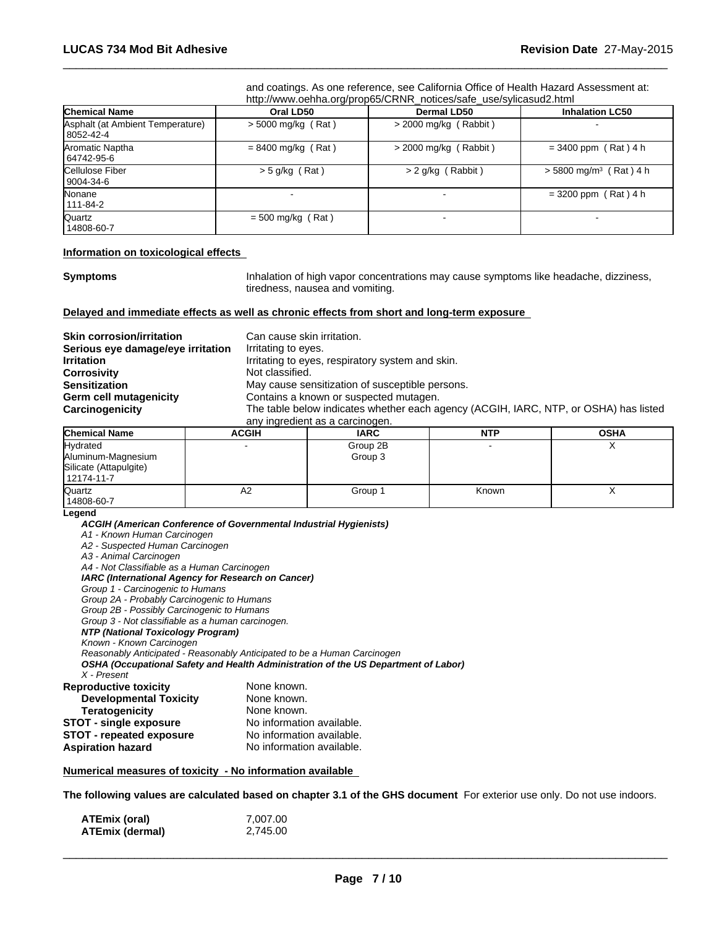and coatings. As one reference, see California Office of Health Hazard Assessment at: http://www.oehha.org/prop65/CRNR\_notices/safe\_use/sylicasud2.html

 $\overline{\phantom{a}}$  ,  $\overline{\phantom{a}}$  ,  $\overline{\phantom{a}}$  ,  $\overline{\phantom{a}}$  ,  $\overline{\phantom{a}}$  ,  $\overline{\phantom{a}}$  ,  $\overline{\phantom{a}}$  ,  $\overline{\phantom{a}}$  ,  $\overline{\phantom{a}}$  ,  $\overline{\phantom{a}}$  ,  $\overline{\phantom{a}}$  ,  $\overline{\phantom{a}}$  ,  $\overline{\phantom{a}}$  ,  $\overline{\phantom{a}}$  ,  $\overline{\phantom{a}}$  ,  $\overline{\phantom{a}}$ 

| <b>Chemical Name</b>                            | Oral LD50            | <b>Dermal LD50</b>       | <b>Inhalation LC50</b>               |
|-------------------------------------------------|----------------------|--------------------------|--------------------------------------|
| Asphalt (at Ambient Temperature)<br>  8052-42-4 | $>$ 5000 mg/kg (Rat) | $>$ 2000 mg/kg (Rabbit)  |                                      |
| Aromatic Naptha<br>64742-95-6                   | $= 8400$ mg/kg (Rat) | $>$ 2000 mg/kg (Rabbit)  | $= 3400$ ppm (Rat) 4 h               |
| Cellulose Fiber<br>9004-34-6                    | $> 5$ g/kg (Rat)     | $> 2$ g/kg (Rabbit)      | $>$ 5800 mg/m <sup>3</sup> (Rat) 4 h |
| Nonane<br>  111-84-2                            |                      |                          | $= 3200$ ppm (Rat) 4 h               |
| Quartz<br>14808-60-7                            | $= 500$ mg/kg (Rat)  | $\overline{\phantom{a}}$ | $\overline{\phantom{0}}$             |

#### **Information on toxicological effects**

**Symptoms Inhalation of high vapor concentrations may cause symptoms like headache, dizziness,** tiredness, nausea and vomiting.

#### **Delayed and immediate effects as well as chronic effects from short and long-term exposure**

| <b>Skin corrosion/irritation</b>  | Can cause skin irritation.                                                           |
|-----------------------------------|--------------------------------------------------------------------------------------|
| Serious eye damage/eye irritation | Irritating to eyes.                                                                  |
| <b>Irritation</b>                 | Irritating to eyes, respiratory system and skin.                                     |
| <b>Corrosivity</b>                | Not classified.                                                                      |
| <b>Sensitization</b>              | May cause sensitization of susceptible persons.                                      |
| Germ cell mutagenicity            | Contains a known or suspected mutagen.                                               |
| Carcinogenicity                   | The table below indicates whether each agency (ACGIH, IARC, NTP, or OSHA) has listed |
|                                   | any ingredient as a carcinogen.                                                      |

| <b>Chemical Name</b>                                                   | <b>ACGIH</b> | <b>IARC</b>         | <b>NTP</b> | <b>OSHA</b> |
|------------------------------------------------------------------------|--------------|---------------------|------------|-------------|
| Hydrated<br>Aluminum-Magnesium<br>Silicate (Attapulgite)<br>12174-11-7 |              | Group 2B<br>Group 3 |            |             |
| Quartz<br>14808-60-7                                                   | ΑZ           | Group 1             | Known      |             |

#### **Legend**

*ACGIH (American Conference of Governmental Industrial Hygienists) A1 - Known Human Carcinogen*

*A2 - Suspected Human Carcinogen A3 - Animal Carcinogen*

| A4 - Not Classifiable as a Human Carcinogen        |                                                                                    |
|----------------------------------------------------|------------------------------------------------------------------------------------|
| IARC (International Agency for Research on Cancer) |                                                                                    |
| Group 1 - Carcinogenic to Humans                   |                                                                                    |
| Group 2A - Probably Carcinogenic to Humans         |                                                                                    |
| Group 2B - Possibly Carcinogenic to Humans         |                                                                                    |
| Group 3 - Not classifiable as a human carcinogen.  |                                                                                    |
| NTP (National Toxicology Program)                  |                                                                                    |
| Known - Known Carcinogen                           |                                                                                    |
|                                                    | Reasonably Anticipated - Reasonably Anticipated to be a Human Carcinogen           |
|                                                    | OSHA (Occupational Safety and Health Administration of the US Department of Labor) |
| X - Present                                        |                                                                                    |
| <b>Reproductive toxicity</b>                       | None known.                                                                        |
| <b>Developmental Toxicity</b>                      | None known.                                                                        |
| <b>Teratogenicity</b>                              | None known.                                                                        |
| <b>STOT - single exposure</b>                      | No information available.                                                          |
| <b>STOT - repeated exposure</b>                    | No information available.                                                          |
| <b>Aspiration hazard</b>                           | No information available.                                                          |

### **Numerical measures of toxicity - No information available**

**The following values are calculated based on chapter 3.1 of the GHS document** For exterior use only. Do not use indoors.

| ATEmix (oral)   | 7,007.00 |
|-----------------|----------|
| ATEmix (dermal) | 2,745.00 |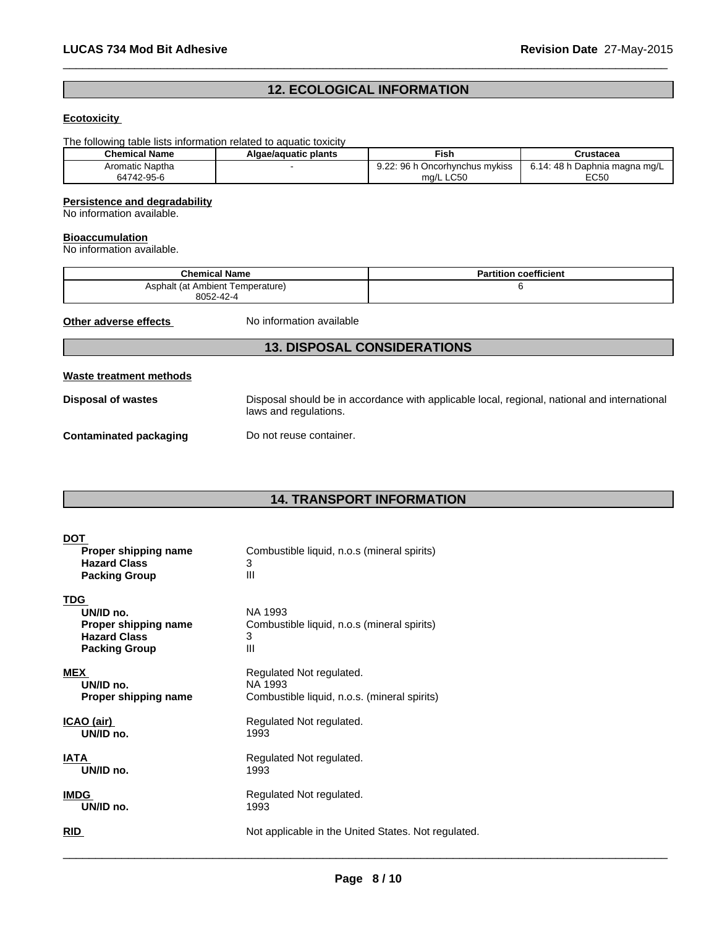# **12. ECOLOGICAL INFORMATION**

 $\overline{\phantom{a}}$  ,  $\overline{\phantom{a}}$  ,  $\overline{\phantom{a}}$  ,  $\overline{\phantom{a}}$  ,  $\overline{\phantom{a}}$  ,  $\overline{\phantom{a}}$  ,  $\overline{\phantom{a}}$  ,  $\overline{\phantom{a}}$  ,  $\overline{\phantom{a}}$  ,  $\overline{\phantom{a}}$  ,  $\overline{\phantom{a}}$  ,  $\overline{\phantom{a}}$  ,  $\overline{\phantom{a}}$  ,  $\overline{\phantom{a}}$  ,  $\overline{\phantom{a}}$  ,  $\overline{\phantom{a}}$ 

# **Ecotoxicity**

The following table lists information related to aquatic toxicity

| <b>Chemical Name</b> | Algae/aquatic plants | Fish                                        | Crustacea                                            |
|----------------------|----------------------|---------------------------------------------|------------------------------------------------------|
| Aromatic Naptha      |                      | വ ററ<br>96 h<br>Oncorhynchus mykiss<br>9.ZZ | 48 h<br>) Daphnia magna mg/L<br>$\overline{ }$<br>υ. |
| 64742-95-6           |                      | ma/L LC50                                   | <b>FOLD</b><br>CC50                                  |

### **Persistence and degradability**

No information available.

#### **Bioaccumulation**

No information available.

| <b>Chemical Name</b>                          | <b>Partition coefficient</b> |
|-----------------------------------------------|------------------------------|
| Asphalt (at Ambient Temperature)<br>8052-42-4 |                              |

**Other adverse effects** No information available

# **13. DISPOSAL CONSIDERATIONS**

# **Waste treatment methods**

**Disposal of wastes** Disposal should be in accordance with applicable local, regional, national and international laws and regulations.

**Contaminated packaging Do not reuse container.** 

# **14. TRANSPORT INFORMATION**

| <b>DOT</b><br>Proper shipping name<br><b>Hazard Class</b><br><b>Packing Group</b>              | Combustible liquid, n.o.s (mineral spirits)<br>3<br>Ш            |
|------------------------------------------------------------------------------------------------|------------------------------------------------------------------|
| <b>TDG</b><br>UN/ID no.<br>Proper shipping name<br><b>Hazard Class</b><br><b>Packing Group</b> | NA 1993<br>Combustible liquid, n.o.s (mineral spirits)<br>3<br>Ш |
| <b>MEX</b>                                                                                     | Regulated Not regulated.                                         |
| UN/ID no.                                                                                      | NA 1993                                                          |
| Proper shipping name                                                                           | Combustible liquid, n.o.s. (mineral spirits)                     |
| ICAO (air)                                                                                     | Regulated Not regulated.                                         |
| UN/ID no.                                                                                      | 1993                                                             |
| <b>IATA</b>                                                                                    | Regulated Not regulated.                                         |
| UN/ID no.                                                                                      | 1993                                                             |
| <b>IMDG</b>                                                                                    | Regulated Not regulated.                                         |
| UN/ID no.                                                                                      | 1993                                                             |
| <b>RID</b>                                                                                     | Not applicable in the United States. Not regulated.              |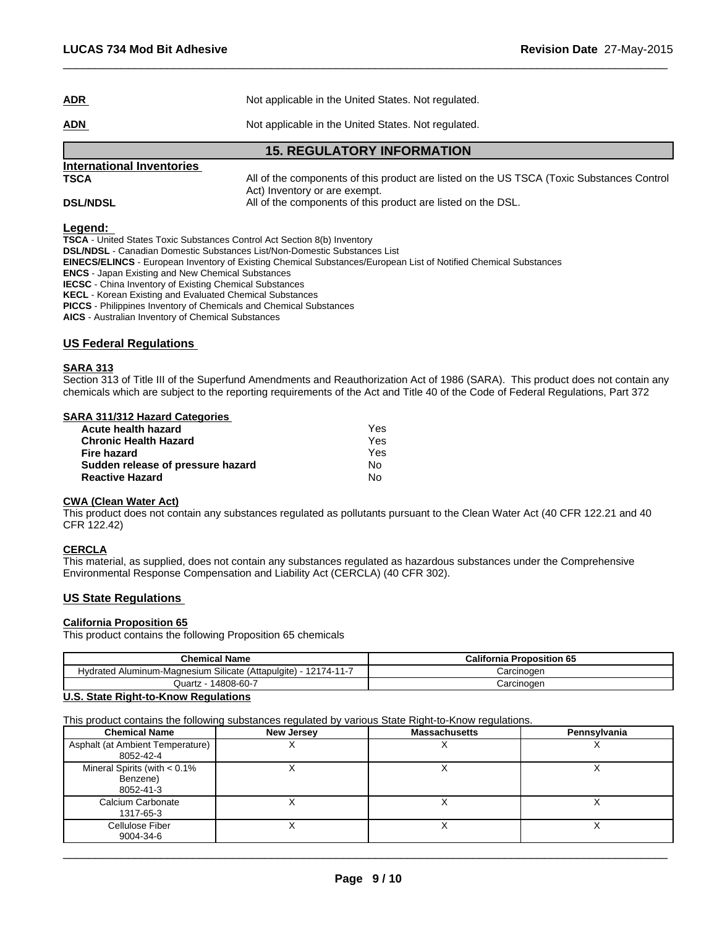| International Inventories |                                                     |
|---------------------------|-----------------------------------------------------|
|                           | <b>15. REGULATORY INFORMATION</b>                   |
| <u>ADN</u>                | Not applicable in the United States. Not regulated. |
| <b>ADR</b>                | Not applicable in the United States. Not regulated. |

**TSCA** All of the components of this product are listed on the US TSCA (Toxic Substances Control Act) Inventory or are exempt. **DSL/NDSL All of the components of this product are listed on the DSL.** 

 $\overline{\phantom{a}}$  ,  $\overline{\phantom{a}}$  ,  $\overline{\phantom{a}}$  ,  $\overline{\phantom{a}}$  ,  $\overline{\phantom{a}}$  ,  $\overline{\phantom{a}}$  ,  $\overline{\phantom{a}}$  ,  $\overline{\phantom{a}}$  ,  $\overline{\phantom{a}}$  ,  $\overline{\phantom{a}}$  ,  $\overline{\phantom{a}}$  ,  $\overline{\phantom{a}}$  ,  $\overline{\phantom{a}}$  ,  $\overline{\phantom{a}}$  ,  $\overline{\phantom{a}}$  ,  $\overline{\phantom{a}}$ 

#### **Legend:**

**TSCA** - United States Toxic Substances Control Act Section 8(b) Inventory

**DSL/NDSL** - Canadian Domestic Substances List/Non-Domestic Substances List

**EINECS/ELINCS** - European Inventory of Existing Chemical Substances/European List of Notified Chemical Substances

**ENCS** - Japan Existing and New Chemical Substances

**IECSC** - China Inventory of Existing Chemical Substances

**KECL** - Korean Existing and Evaluated Chemical Substances

**PICCS** - Philippines Inventory of Chemicals and Chemical Substances

**AICS** - Australian Inventory of Chemical Substances

#### **US Federal Regulations**

#### **SARA 313**

Section 313 of Title III of the Superfund Amendments and Reauthorization Act of 1986 (SARA). This product does not contain any chemicals which are subject to the reporting requirements of the Act and Title 40 of the Code of Federal Regulations, Part 372

#### **SARA 311/312 Hazard Categories**

| Acute health hazard               | Yes |
|-----------------------------------|-----|
| <b>Chronic Health Hazard</b>      | Yes |
| Fire hazard                       | Yes |
| Sudden release of pressure hazard | N٥  |
| <b>Reactive Hazard</b>            | No  |

# **CWA (Clean Water Act)**

This product does not contain any substances regulated as pollutants pursuant to the Clean Water Act (40 CFR 122.21 and 40 CFR 122.42)

#### **CERCLA**

This material, as supplied, does not contain any substances regulated as hazardous substances under the Comprehensive Environmental Response Compensation and Liability Act (CERCLA) (40 CFR 302).

# **US State Regulations**

#### **California Proposition 65**

This product contains the following Proposition 65 chemicals

| <b>Chemical Name</b>                                                     | <b>California Proposition 65</b> |  |
|--------------------------------------------------------------------------|----------------------------------|--|
| Hydrated Aluminum-Magnesium Silicate (Attapulgite) -<br>$12174 - 11 - 1$ | Carcinogen                       |  |
| 14808-60-7<br>Quartz                                                     | Carcinogen                       |  |

### **U.S. State Right-to-Know Regulations**

This product contains the following substances regulated by various State Right-to-Know regulations.

| <b>Chemical Name</b>                                     | <b>New Jersey</b> | <b>Massachusetts</b> | Pennsylvania |
|----------------------------------------------------------|-------------------|----------------------|--------------|
| Asphalt (at Ambient Temperature)<br>8052-42-4            |                   |                      | $\lambda$    |
| Mineral Spirits (with $< 0.1\%$<br>Benzene)<br>8052-41-3 |                   |                      |              |
| Calcium Carbonate<br>1317-65-3                           |                   |                      |              |
| Cellulose Fiber<br>9004-34-6                             |                   |                      |              |